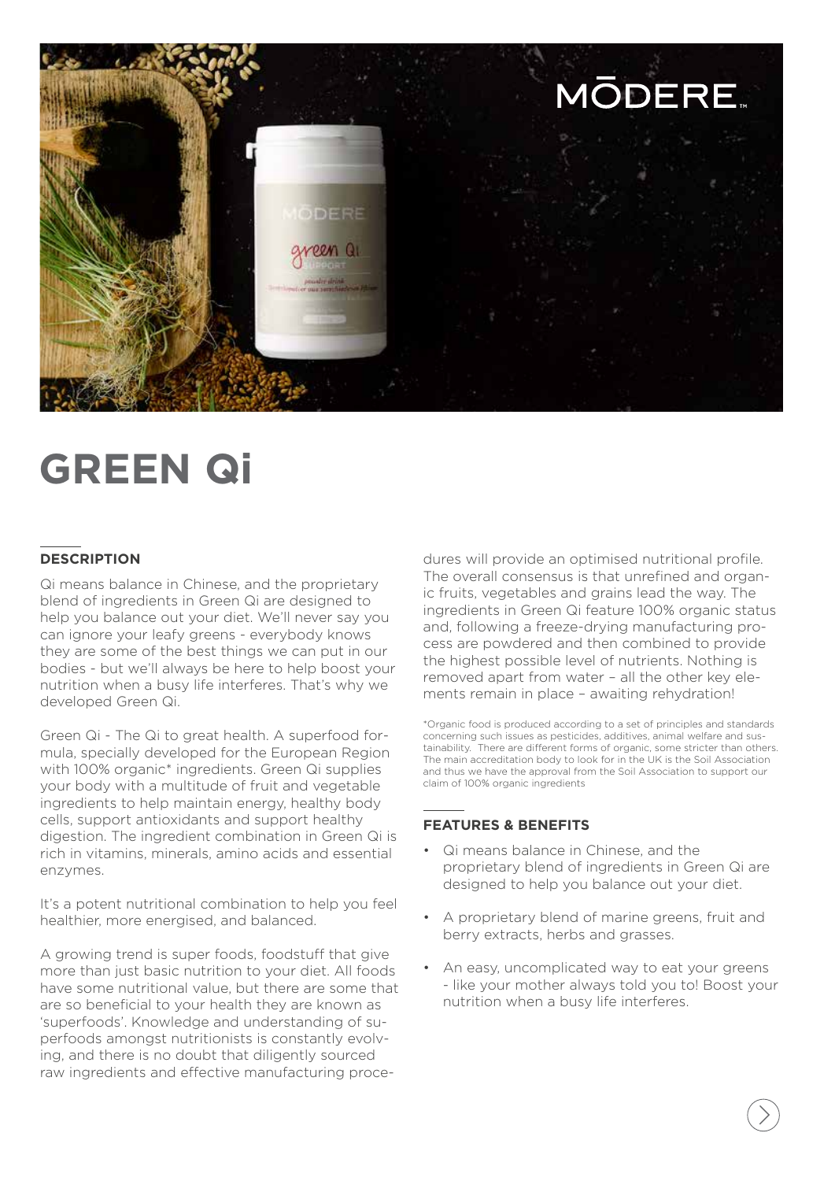

# **GREEN Qi**

### **DESCRIPTION**

Qi means balance in Chinese, and the proprietary blend of ingredients in Green Qi are designed to help you balance out your diet. We'll never say you can ignore your leafy greens - everybody knows they are some of the best things we can put in our bodies - but we'll always be here to help boost your nutrition when a busy life interferes. That's why we developed Green Qi.

Green Qi - The Qi to great health. A superfood formula, specially developed for the European Region with 100% organic\* ingredients. Green Qi supplies your body with a multitude of fruit and vegetable ingredients to help maintain energy, healthy body cells, support antioxidants and support healthy digestion. The ingredient combination in Green Qi is rich in vitamins, minerals, amino acids and essential enzymes.

It's a potent nutritional combination to help you feel healthier, more energised, and balanced.

A growing trend is super foods, foodstuff that give more than just basic nutrition to your diet. All foods have some nutritional value, but there are some that are so beneficial to your health they are known as 'superfoods'. Knowledge and understanding of superfoods amongst nutritionists is constantly evolving, and there is no doubt that diligently sourced raw ingredients and effective manufacturing procedures will provide an optimised nutritional profile. The overall consensus is that unrefined and organic fruits, vegetables and grains lead the way. The ingredients in Green Qi feature 100% organic status and, following a freeze-drying manufacturing process are powdered and then combined to provide the highest possible level of nutrients. Nothing is removed apart from water – all the other key elements remain in place – awaiting rehydration!

\*Organic food is produced according to a set of principles and standards concerning such issues as pesticides, additives, animal welfare and sustainability. There are different forms of organic, some stricter than others. The main accreditation body to look for in the UK is the Soil Association and thus we have the approval from the Soil Association to support our claim of 100% organic ingredients

#### **FEATURES & BENEFITS**

- Qi means balance in Chinese, and the proprietary blend of ingredients in Green Qi are designed to help you balance out your diet.
- A proprietary blend of marine greens, fruit and berry extracts, herbs and grasses.
- An easy, uncomplicated way to eat your greens - like your mother always told you to! Boost your nutrition when a busy life interferes.